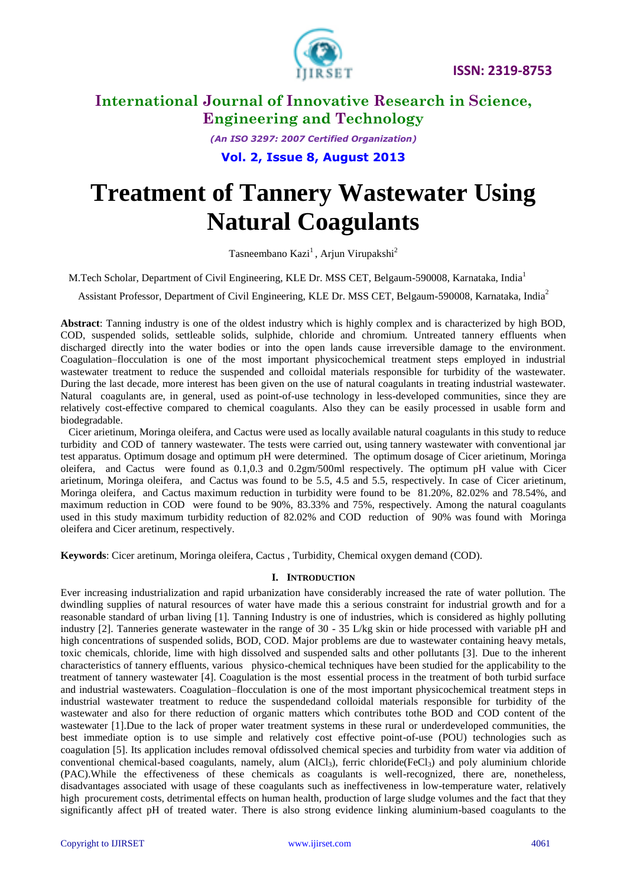

*(An ISO 3297: 2007 Certified Organization)*

**Vol. 2, Issue 8, August 2013**

# **Treatment of Tannery Wastewater Using Natural Coagulants**

Tasneembano Kazi<sup>1</sup>, Arjun Virupakshi<sup>2</sup>

M.Tech Scholar, Department of Civil Engineering, KLE Dr. MSS CET, Belgaum-590008, Karnataka, India<sup>1</sup>

Assistant Professor, Department of Civil Engineering, KLE Dr. MSS CET, Belgaum-590008, Karnataka, India<sup>2</sup>

**Abstract**: Tanning industry is one of the oldest industry which is highly complex and is characterized by high BOD, COD, suspended solids, settleable solids, sulphide, chloride and chromium. Untreated tannery effluents when discharged directly into the water bodies or into the open lands cause irreversible damage to the environment. Coagulation–flocculation is one of the most important physicochemical treatment steps employed in industrial wastewater treatment to reduce the suspended and colloidal materials responsible for turbidity of the wastewater. During the last decade, more interest has been given on the use of natural coagulants in treating industrial wastewater. Natural coagulants are, in general, used as point-of-use technology in less-developed communities, since they are relatively cost-effective compared to chemical coagulants. Also they can be easily processed in usable form and biodegradable.

 Cicer arietinum, Moringa oleifera, and Cactus were used as locally available natural coagulants in this study to reduce turbidity and COD of tannery wastewater. The tests were carried out, using tannery wastewater with conventional jar test apparatus. Optimum dosage and optimum pH were determined. The optimum dosage of Cicer arietinum, Moringa oleifera, and Cactus were found as 0.1,0.3 and 0.2gm/500ml respectively. The optimum pH value with Cicer arietinum, Moringa oleifera, and Cactus was found to be 5.5, 4.5 and 5.5, respectively. In case of Cicer arietinum, Moringa oleifera, and Cactus maximum reduction in turbidity were found to be 81.20%, 82.02% and 78.54%, and maximum reduction in COD were found to be 90%, 83.33% and 75%, respectively. Among the natural coagulants used in this study maximum turbidity reduction of 82.02% and COD reduction of 90% was found with Moringa oleifera and Cicer aretinum, respectively.

**Keywords**: Cicer aretinum, Moringa oleifera, Cactus , Turbidity, Chemical oxygen demand (COD).

### **I. INTRODUCTION**

Ever increasing industrialization and rapid urbanization have considerably increased the rate of water pollution. The dwindling supplies of natural resources of water have made this a serious constraint for industrial growth and for a reasonable standard of urban living [1]. Tanning Industry is one of industries, which is considered as highly polluting industry [2]. Tanneries generate wastewater in the range of 30 - 35 L/kg skin or hide processed with variable pH and high concentrations of suspended solids, BOD, COD. Major problems are due to wastewater containing heavy metals, toxic chemicals, chloride, lime with high dissolved and suspended salts and other pollutants [3]. Due to the inherent characteristics of tannery effluents, various physico-chemical techniques have been studied for the applicability to the treatment of tannery wastewater [4]. Coagulation is the most essential process in the treatment of both turbid surface and industrial wastewaters. Coagulation–flocculation is one of the most important physicochemical treatment steps in industrial wastewater treatment to reduce the suspendedand colloidal materials responsible for turbidity of the wastewater and also for there reduction of organic matters which contributes tothe BOD and COD content of the wastewater [1].Due to the lack of proper water treatment systems in these rural or underdeveloped communities, the best immediate option is to use simple and relatively cost effective point-of-use (POU) technologies such as coagulation [5]. Its application includes removal ofdissolved chemical species and turbidity from water via addition of conventional chemical-based coagulants, namely, alum  $(AIC<sub>13</sub>)$ , ferric chloride(FeCl<sub>3</sub>) and poly aluminium chloride (PAC).While the effectiveness of these chemicals as coagulants is well-recognized, there are, nonetheless, disadvantages associated with usage of these coagulants such as ineffectiveness in low-temperature water, relatively high procurement costs, detrimental effects on human health, production of large sludge volumes and the fact that they significantly affect pH of treated water. There is also strong evidence linking aluminium-based coagulants to the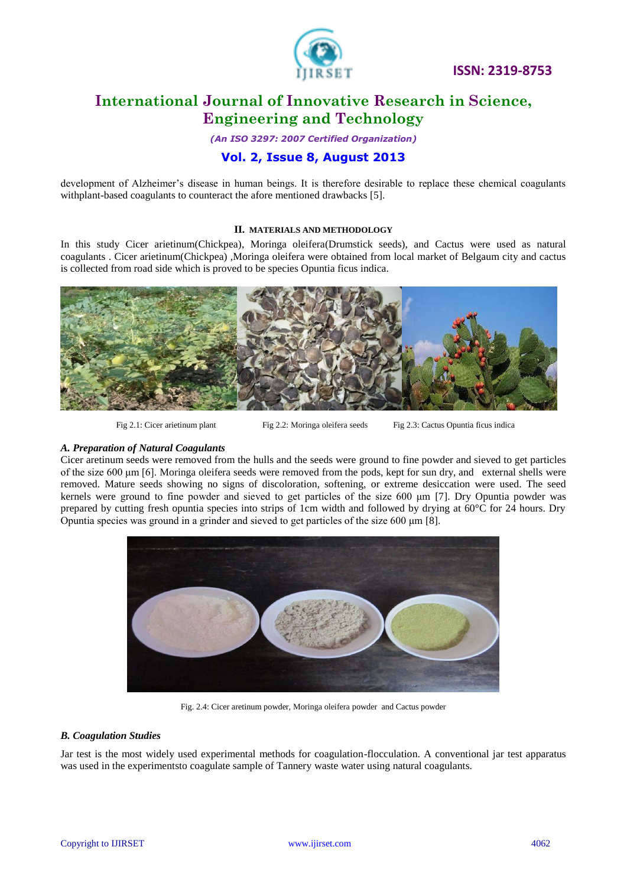

*(An ISO 3297: 2007 Certified Organization)*

### **Vol. 2, Issue 8, August 2013**

development of Alzheimer's disease in human beings. It is therefore desirable to replace these chemical coagulants withplant-based coagulants to counteract the afore mentioned drawbacks [5].

#### **II. MATERIALS AND METHODOLOGY**

In this study Cicer arietinum(Chickpea), Moringa oleifera(Drumstick seeds), and Cactus were used as natural coagulants . Cicer arietinum(Chickpea) ,Moringa oleifera were obtained from local market of Belgaum city and cactus is collected from road side which is proved to be species Opuntia ficus indica.



Fig 2.1: Cicer arietinum plant Fig 2.2: Moringa oleifera seeds Fig 2.3: Cactus Opuntia ficus indica

### *A. Preparation of Natural Coagulants*

Cicer aretinum seeds were removed from the hulls and the seeds were ground to fine powder and sieved to get particles of the size 600 μm [6]. Moringa oleifera seeds were removed from the pods, kept for sun dry, and external shells were removed. Mature seeds showing no signs of discoloration, softening, or extreme desiccation were used. The seed kernels were ground to fine powder and sieved to get particles of the size 600 μm [7]. Dry Opuntia powder was prepared by cutting fresh opuntia species into strips of 1cm width and followed by drying at 60°C for 24 hours. Dry Opuntia species was ground in a grinder and sieved to get particles of the size 600 μm [8].



Fig. 2.4: Cicer aretinum powder, Moringa oleifera powder and Cactus powder

### *B. Coagulation Studies*

Jar test is the most widely used experimental methods for coagulation-flocculation. A conventional jar test apparatus was used in the experimentsto coagulate sample of Tannery waste water using natural coagulants.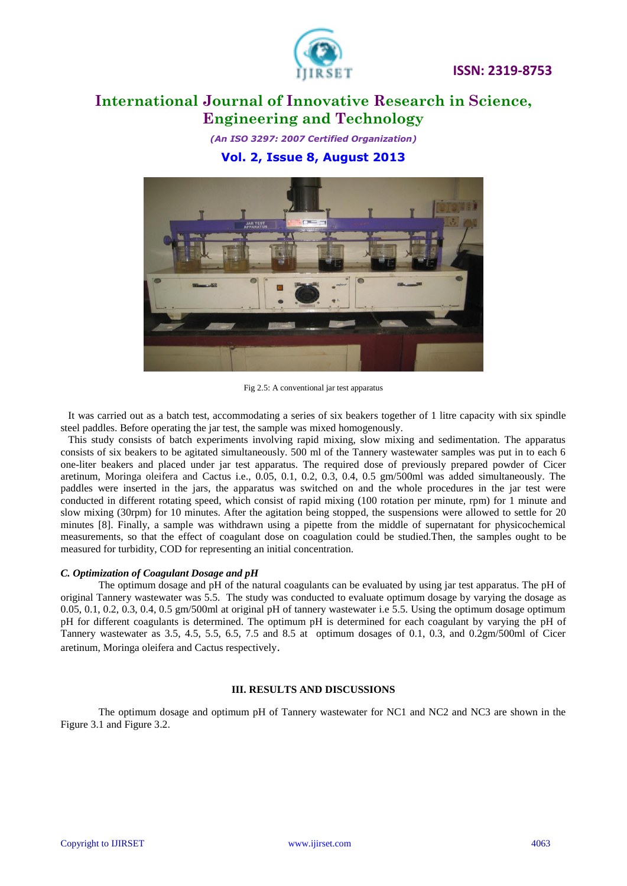

*(An ISO 3297: 2007 Certified Organization)*

**Vol. 2, Issue 8, August 2013**



Fig 2.5: A conventional jar test apparatus

It was carried out as a batch test, accommodating a series of six beakers together of 1 litre capacity with six spindle steel paddles. Before operating the jar test, the sample was mixed homogenously.

This study consists of batch experiments involving rapid mixing, slow mixing and sedimentation. The apparatus consists of six beakers to be agitated simultaneously. 500 ml of the Tannery wastewater samples was put in to each 6 one-liter beakers and placed under jar test apparatus. The required dose of previously prepared powder of Cicer aretinum, Moringa oleifera and Cactus i.e., 0.05, 0.1, 0.2, 0.3, 0.4, 0.5 gm/500ml was added simultaneously. The paddles were inserted in the jars, the apparatus was switched on and the whole procedures in the jar test were conducted in different rotating speed, which consist of rapid mixing (100 rotation per minute, rpm) for 1 minute and slow mixing (30rpm) for 10 minutes. After the agitation being stopped, the suspensions were allowed to settle for 20 minutes [8]. Finally, a sample was withdrawn using a pipette from the middle of supernatant for physicochemical measurements, so that the effect of coagulant dose on coagulation could be studied.Then, the samples ought to be measured for turbidity, COD for representing an initial concentration.

#### *C. Optimization of Coagulant Dosage and pH*

The optimum dosage and pH of the natural coagulants can be evaluated by using jar test apparatus. The pH of original Tannery wastewater was 5.5. The study was conducted to evaluate optimum dosage by varying the dosage as 0.05, 0.1, 0.2, 0.3, 0.4, 0.5 gm/500ml at original pH of tannery wastewater i.e 5.5. Using the optimum dosage optimum pH for different coagulants is determined. The optimum pH is determined for each coagulant by varying the pH of Tannery wastewater as 3.5, 4.5, 5.5, 6.5, 7.5 and 8.5 at optimum dosages of 0.1, 0.3, and 0.2gm/500ml of Cicer aretinum, Moringa oleifera and Cactus respectively.

### **III. RESULTS AND DISCUSSIONS**

The optimum dosage and optimum pH of Tannery wastewater for NC1 and NC2 and NC3 are shown in the Figure 3.1 and Figure 3.2.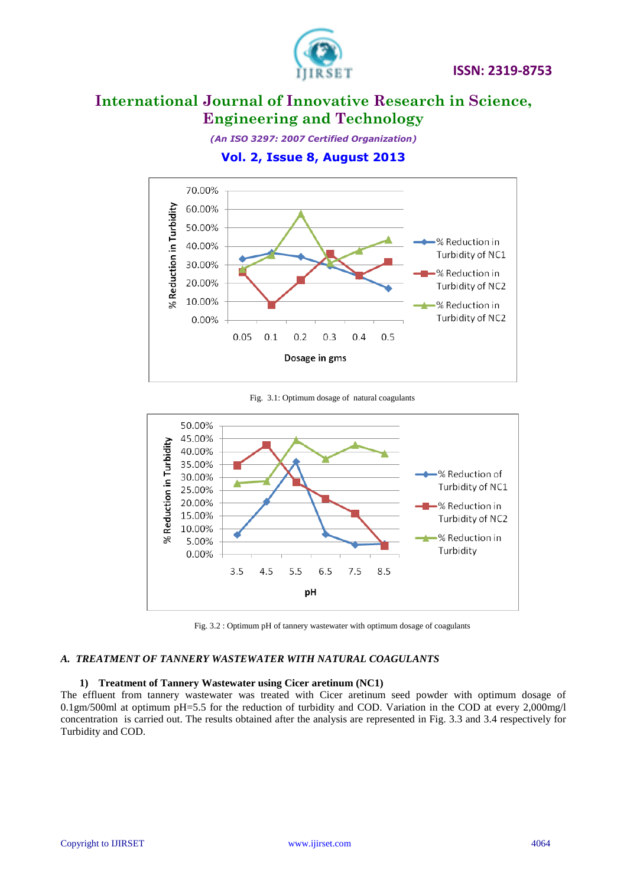

*(An ISO 3297: 2007 Certified Organization)*

**Vol. 2, Issue 8, August 2013**



Fig. 3.1: Optimum dosage of natural coagulants



Fig. 3.2 : Optimum pH of tannery wastewater with optimum dosage of coagulants

### *A. TREATMENT OF TANNERY WASTEWATER WITH NATURAL COAGULANTS*

### **1) Treatment of Tannery Wastewater using Cicer aretinum (NC1)**

The effluent from tannery wastewater was treated with Cicer aretinum seed powder with optimum dosage of 0.1gm/500ml at optimum pH=5.5 for the reduction of turbidity and COD. Variation in the COD at every 2,000mg/l concentration is carried out. The results obtained after the analysis are represented in Fig. 3.3 and 3.4 respectively for Turbidity and COD.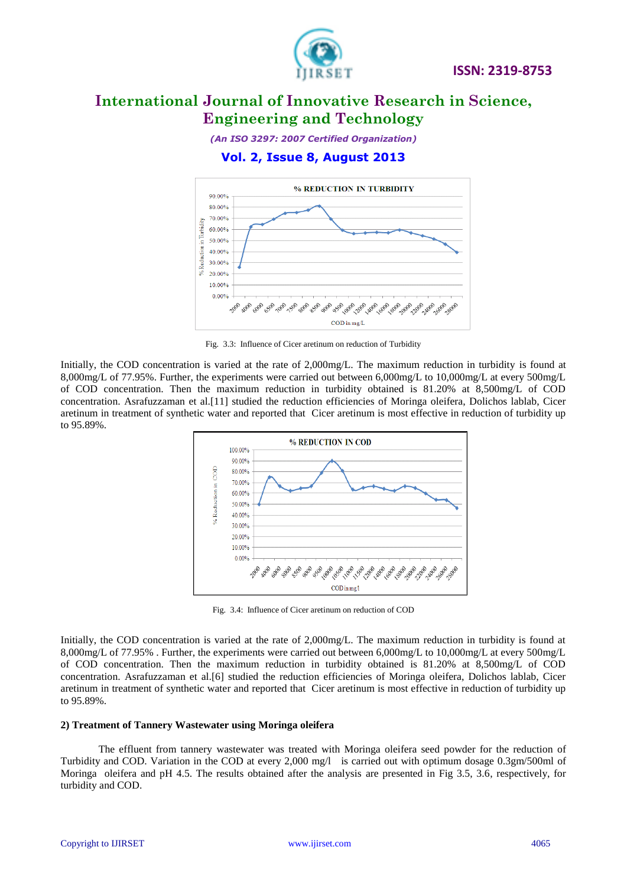

*(An ISO 3297: 2007 Certified Organization)*

### **Vol. 2, Issue 8, August 2013**



Fig. 3.3: Influence of Cicer aretinum on reduction of Turbidity

Initially, the COD concentration is varied at the rate of 2,000mg/L. The maximum reduction in turbidity is found at 8,000mg/L of 77.95%. Further, the experiments were carried out between 6,000mg/L to 10,000mg/L at every 500mg/L of COD concentration. Then the maximum reduction in turbidity obtained is 81.20% at 8,500mg/L of COD concentration. Asrafuzzaman et al.[11] studied the reduction efficiencies of Moringa oleifera, Dolichos lablab, Cicer aretinum in treatment of synthetic water and reported that Cicer aretinum is most effective in reduction of turbidity up to 95.89%.



Fig. 3.4: Influence of Cicer aretinum on reduction of COD

Initially, the COD concentration is varied at the rate of 2,000mg/L. The maximum reduction in turbidity is found at 8,000mg/L of 77.95% . Further, the experiments were carried out between 6,000mg/L to 10,000mg/L at every 500mg/L of COD concentration. Then the maximum reduction in turbidity obtained is 81.20% at 8,500mg/L of COD concentration. Asrafuzzaman et al.[6] studied the reduction efficiencies of Moringa oleifera, Dolichos lablab, Cicer aretinum in treatment of synthetic water and reported that Cicer aretinum is most effective in reduction of turbidity up to 95.89%.

### **2) Treatment of Tannery Wastewater using Moringa oleifera**

The effluent from tannery wastewater was treated with Moringa oleifera seed powder for the reduction of Turbidity and COD. Variation in the COD at every 2,000 mg/l is carried out with optimum dosage 0.3gm/500ml of Moringa oleifera and pH 4.5. The results obtained after the analysis are presented in Fig 3.5, 3.6, respectively, for turbidity and COD.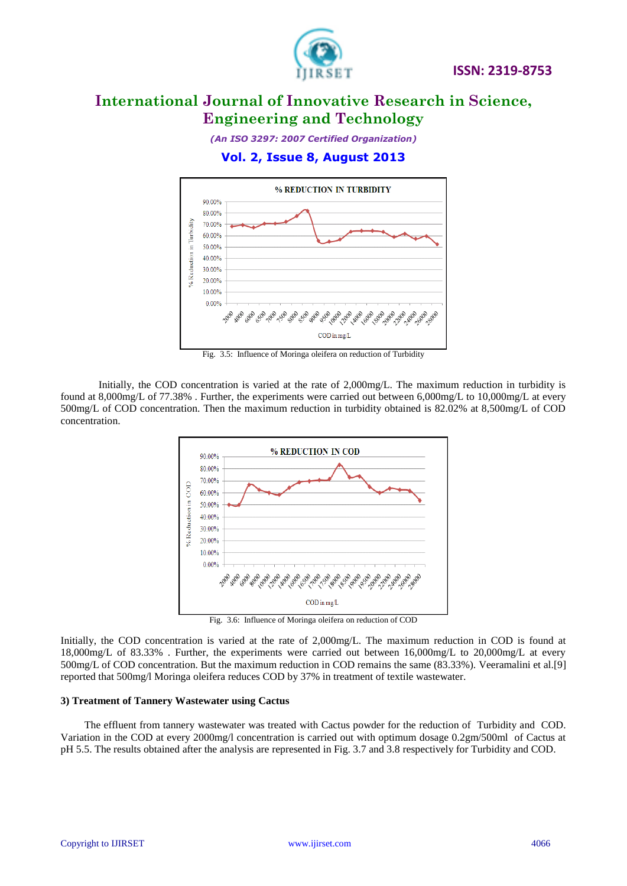

*(An ISO 3297: 2007 Certified Organization)*

### **Vol. 2, Issue 8, August 2013**



Fig. 3.5: Influence of Moringa oleifera on reduction of Turbidity

Initially, the COD concentration is varied at the rate of 2,000mg/L. The maximum reduction in turbidity is found at 8,000mg/L of 77.38%. Further, the experiments were carried out between 6,000mg/L to 10,000mg/L at every 500mg/L of COD concentration. Then the maximum reduction in turbidity obtained is 82.02% at 8,500mg/L of COD concentration.



Fig. 3.6: Influence of Moringa oleifera on reduction of COD

Initially, the COD concentration is varied at the rate of 2,000mg/L. The maximum reduction in COD is found at 18,000mg/L of 83.33% . Further, the experiments were carried out between 16,000mg/L to 20,000mg/L at every 500mg/L of COD concentration. But the maximum reduction in COD remains the same (83.33%). Veeramalini et al.[9] reported that 500mg/l Moringa oleifera reduces COD by 37% in treatment of textile wastewater.

### **3) Treatment of Tannery Wastewater using Cactus**

 The effluent from tannery wastewater was treated with Cactus powder for the reduction of Turbidity and COD. Variation in the COD at every 2000mg/l concentration is carried out with optimum dosage 0.2gm/500ml of Cactus at pH 5.5. The results obtained after the analysis are represented in Fig. 3.7 and 3.8 respectively for Turbidity and COD.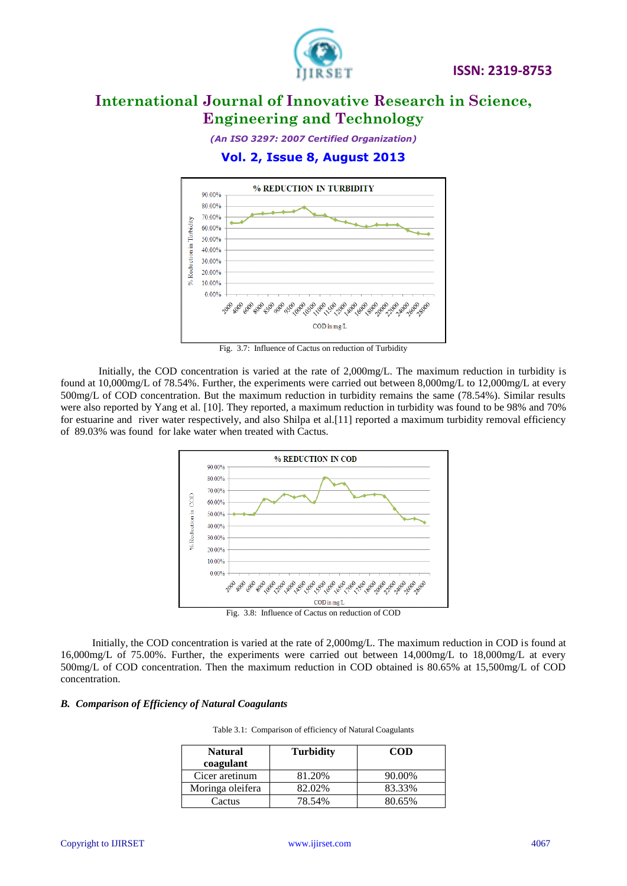

*(An ISO 3297: 2007 Certified Organization)*

### **Vol. 2, Issue 8, August 2013**



Fig. 3.7: Influence of Cactus on reduction of Turbidity

Initially, the COD concentration is varied at the rate of 2,000mg/L. The maximum reduction in turbidity is found at 10,000mg/L of 78.54%. Further, the experiments were carried out between 8,000mg/L to 12,000mg/L at every 500mg/L of COD concentration. But the maximum reduction in turbidity remains the same (78.54%). Similar results were also reported by Yang et al. [10]. They reported, a maximum reduction in turbidity was found to be 98% and 70% for estuarine and river water respectively, and also Shilpa et al.[11] reported a maximum turbidity removal efficiency of 89.03% was found for lake water when treated with Cactus.



 Initially, the COD concentration is varied at the rate of 2,000mg/L. The maximum reduction in COD is found at 16,000mg/L of 75.00%. Further, the experiments were carried out between 14,000mg/L to 18,000mg/L at every 500mg/L of COD concentration. Then the maximum reduction in COD obtained is 80.65% at 15,500mg/L of COD concentration.

### *B. Comparison of Efficiency of Natural Coagulants*

|  |  | Table 3.1: Comparison of efficiency of Natural Coagulants |  |
|--|--|-----------------------------------------------------------|--|
|--|--|-----------------------------------------------------------|--|

| <b>Natural</b><br>coagulant | <b>Turbidity</b> | <b>COD</b> |
|-----------------------------|------------------|------------|
| Cicer aretinum              | 81.20%           | 90.00%     |
| Moringa oleifera            | 82.02%           | 83.33%     |
| Cactus                      | 78.54%           | 80.65%     |